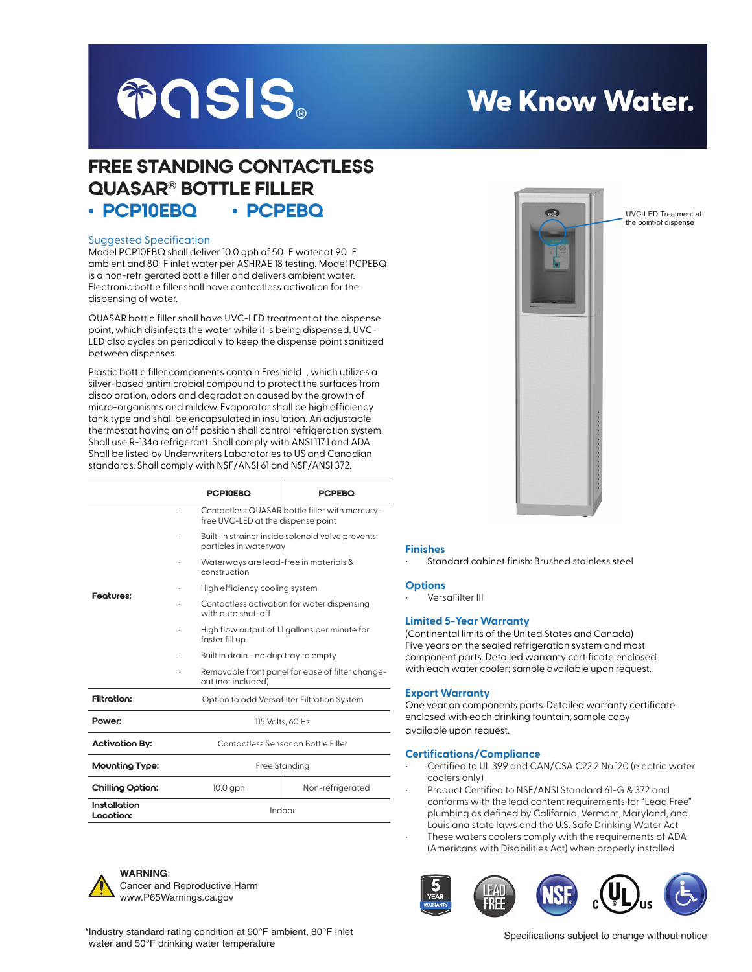

# We Know Water.

 $\overline{\phantom{a}}$ 

UVC-LED Treatment at the point-of dispense

## FREE STANDING CONTACTLESS QUASAR® BOTTLE FILLER • PCP10EBQ • PCPEBQ

#### Suggested Specification

Model PCP10EBQ shall deliver 10.0 gph of 50 F water at 90 F ambient and 80 F inlet water per ASHRAE 18 testing. Model PCPEBQ is a non-refrigerated bottle filler and delivers ambient water. Electronic bottle filler shall have contactless activation for the dispensing of water.

QUASAR bottle filler shall have UVC-LED treatment at the dispense point, which disinfects the water while it is being dispensed. UVC-LED also cycles on periodically to keep the dispense point sanitized between dispenses.

Plastic bottle filler components contain Freshield , which utilizes a silver-based antimicrobial compound to protect the surfaces from discoloration, odors and degradation caused by the growth of micro-organisms and mildew. Evaporator shall be high efficiency tank type and shall be encapsulated in insulation. An adjustable thermostat having an off position shall control refrigeration system. Shall use R-134a refrigerant. Shall comply with ANSI 117.1 and ADA. Shall be listed by Underwriters Laboratories to US and Canadian standards. Shall comply with NSF/ANSI 61 and NSF/ANSI 372.

|                           |                                             | <b>PCPI0EBQ</b>                                                                      | <b>PCPEBO</b>    |  |
|---------------------------|---------------------------------------------|--------------------------------------------------------------------------------------|------------------|--|
| Feotures:                 |                                             | Contactless QUASAR bottle filler with mercury-<br>free UVC-LED at the dispense point |                  |  |
|                           |                                             | Built-in strainer inside solenoid valve prevents<br>particles in waterway            |                  |  |
|                           |                                             | Waterways are lead-free in materials &<br>construction                               |                  |  |
|                           |                                             | High efficiency cooling system                                                       |                  |  |
|                           |                                             | Contactless activation for water dispensing<br>with auto shut-off                    |                  |  |
|                           |                                             | High flow output of 1.1 gallons per minute for<br>faster fill up                     |                  |  |
|                           |                                             | Built in drain - no drip tray to empty                                               |                  |  |
|                           |                                             | Removable front panel for ease of filter change-<br>out (not included)               |                  |  |
| Filtration:               | Option to add Versafilter Filtration System |                                                                                      |                  |  |
| Power:                    | 115 Volts, 60 Hz                            |                                                                                      |                  |  |
| <b>Activation By:</b>     | Contactless Sensor on Bottle Filler         |                                                                                      |                  |  |
| Mounting Type:            |                                             | Free Standing                                                                        |                  |  |
| Chilling Option:          |                                             | $10.0$ gph                                                                           | Non-refrigerated |  |
| Installation<br>Location: |                                             | Indoor                                                                               |                  |  |



**WARNING**: Cancer and Reproductive Harm www.P65Warnings.ca.gov

### **Finishes**

• Standard cabinet finish: Brushed stainless steel

#### **Options**

• VersaFilter III

#### **Limited 5-Year Warranty**

(Continental limits of the United States and Canada) Five years on the sealed refrigeration system and most component parts. Detailed warranty certificate enclosed with each water cooler; sample available upon request.

#### **Export Warranty**

One year on components parts. Detailed warranty certificate enclosed with each drinking fountain; sample copy available upon request.

#### **Certifications/Compliance**

- Certified to UL 399 and CAN/CSA C22.2 No.120 (electric water coolers only)
- Product Certified to NSF/ANSI Standard 61-G & 372 and conforms with the lead content requirements for "Lead Free" plumbing as defined by California, Vermont, Maryland, and Louisiana state laws and the U.S. Safe Drinking Water Act
- These waters coolers comply with the requirements of ADA (Americans with Disabilities Act) when properly installed



\*Industry standard rating condition at 90°F ambient, 80°F inlet water and 50°F drinking water temperature

Specifications subject to change without notice